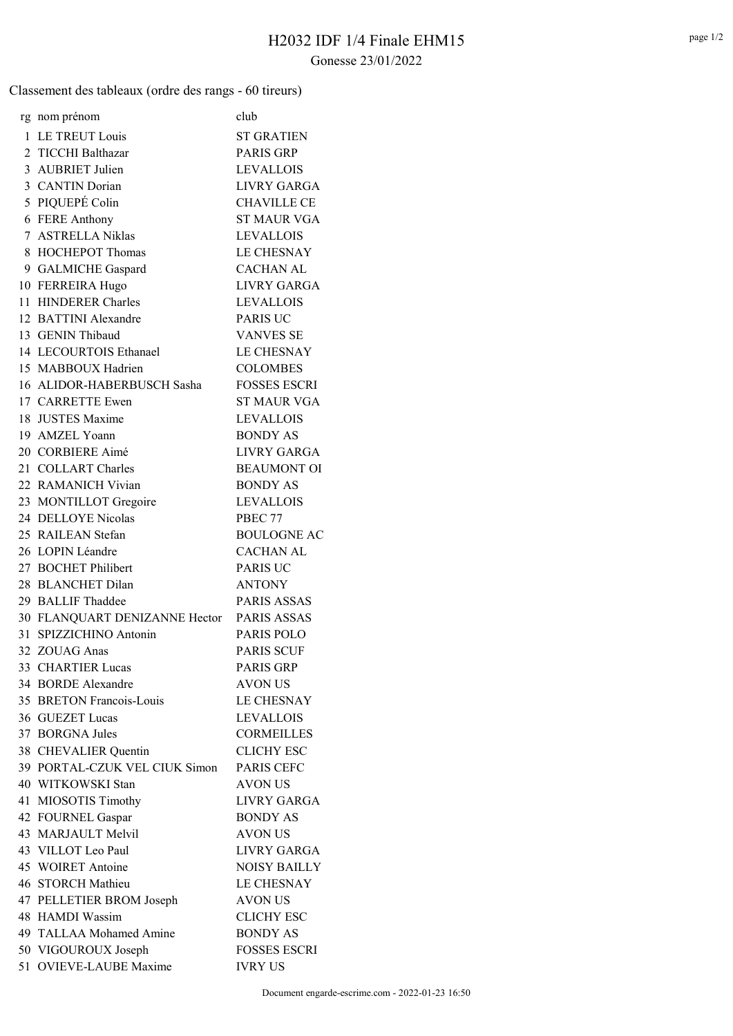## Gonesse 23/01/2022

Classement des tableaux (ordre des rangs - 60 tireurs)

|    | rg nom prénom                             | club                               |
|----|-------------------------------------------|------------------------------------|
|    | 1 LE TREUT Louis                          | <b>ST GRATIEN</b>                  |
|    | 2 TICCHI Balthazar                        |                                    |
|    | 3 AUBRIET Julien                          | <b>PARIS GRP</b>                   |
|    |                                           | <b>LEVALLOIS</b>                   |
|    | 3 CANTIN Dorian                           | <b>LIVRY GARGA</b>                 |
|    | 5 PIQUEPÉ Colin                           | <b>CHAVILLE CE</b>                 |
|    | 6 FERE Anthony                            | <b>ST MAUR VGA</b>                 |
|    | 7 ASTRELLA Niklas                         | <b>LEVALLOIS</b>                   |
|    | 8 HOCHEPOT Thomas                         | <b>LE CHESNAY</b>                  |
|    | 9 GALMICHE Gaspard                        | <b>CACHAN AL</b>                   |
|    | 10 FERREIRA Hugo                          | <b>LIVRY GARGA</b>                 |
|    | 11 HINDERER Charles                       | <b>LEVALLOIS</b>                   |
|    | 12 BATTINI Alexandre                      | <b>PARIS UC</b>                    |
|    | 13 GENIN Thibaud                          | <b>VANVES SE</b>                   |
|    | 14 LECOURTOIS Ethanael                    | <b>LE CHESNAY</b>                  |
|    | 15 MABBOUX Hadrien                        | <b>COLOMBES</b>                    |
|    | 16 ALIDOR-HABERBUSCH Sasha                | <b>FOSSES ESCRI</b>                |
|    | 17 CARRETTE Ewen                          | <b>ST MAUR VGA</b>                 |
|    | 18 JUSTES Maxime                          | <b>LEVALLOIS</b>                   |
|    | 19 AMZEL Yoann                            | <b>BONDY AS</b>                    |
|    | 20 CORBIERE Aimé                          | LIVRY GARGA                        |
|    | 21 COLLART Charles                        | <b>BEAUMONT OI</b>                 |
|    | 22 RAMANICH Vivian                        | <b>BONDY AS</b>                    |
|    | 23 MONTILLOT Gregoire                     | <b>LEVALLOIS</b>                   |
|    | 24 DELLOYE Nicolas                        | PBEC 77                            |
|    | 25 RAILEAN Stefan                         | <b>BOULOGNE AC</b>                 |
|    | 26 LOPIN Léandre                          | <b>CACHAN AL</b>                   |
|    | 27 BOCHET Philibert                       | <b>PARIS UC</b>                    |
|    | 28 BLANCHET Dilan                         | <b>ANTONY</b>                      |
|    | 29 BALLIF Thaddee                         | <b>PARIS ASSAS</b>                 |
|    | 30 FLANQUART DENIZANNE Hector PARIS ASSAS |                                    |
|    | 31 SPIZZICHINO Antonin                    | <b>PARIS POLO</b>                  |
| 32 | ZOUAG Anas                                | <b>PARIS SCUF</b>                  |
|    | 33 CHARTIER Lucas                         | <b>PARIS GRP</b>                   |
|    | 34 BORDE Alexandre                        | <b>AVON US</b>                     |
|    | 35 BRETON Francois-Louis                  | <b>LE CHESNAY</b>                  |
|    | 36 GUEZET Lucas                           | <b>LEVALLOIS</b>                   |
|    | 37 BORGNA Jules                           | <b>CORMEILLES</b>                  |
|    | 38 CHEVALIER Quentin                      | <b>CLICHY ESC</b>                  |
|    | 39 PORTAL-CZUK VEL CIUK Simon             | PARIS CEFC                         |
|    | 40 WITKOWSKI Stan                         | <b>AVON US</b>                     |
|    | 41 MIOSOTIS Timothy                       | LIVRY GARGA                        |
|    | 42 FOURNEL Gaspar                         | <b>BONDY AS</b>                    |
|    | 43 MARJAULT Melvil                        | <b>AVON US</b>                     |
|    |                                           |                                    |
|    | 43 VILLOT Leo Paul<br>45 WOIRET Antoine   | LIVRY GARGA<br><b>NOISY BAILLY</b> |
|    |                                           |                                    |
|    | 46 STORCH Mathieu                         | <b>LE CHESNAY</b>                  |
|    | 47 PELLETIER BROM Joseph                  | <b>AVON US</b>                     |
|    | 48 HAMDI Wassim                           | <b>CLICHY ESC</b>                  |
|    | 49 TALLAA Mohamed Amine                   | <b>BONDY AS</b>                    |
|    | 50 VIGOUROUX Joseph                       | <b>FOSSES ESCRI</b>                |
|    | 51 OVIEVE-LAUBE Maxime                    | <b>IVRY US</b>                     |